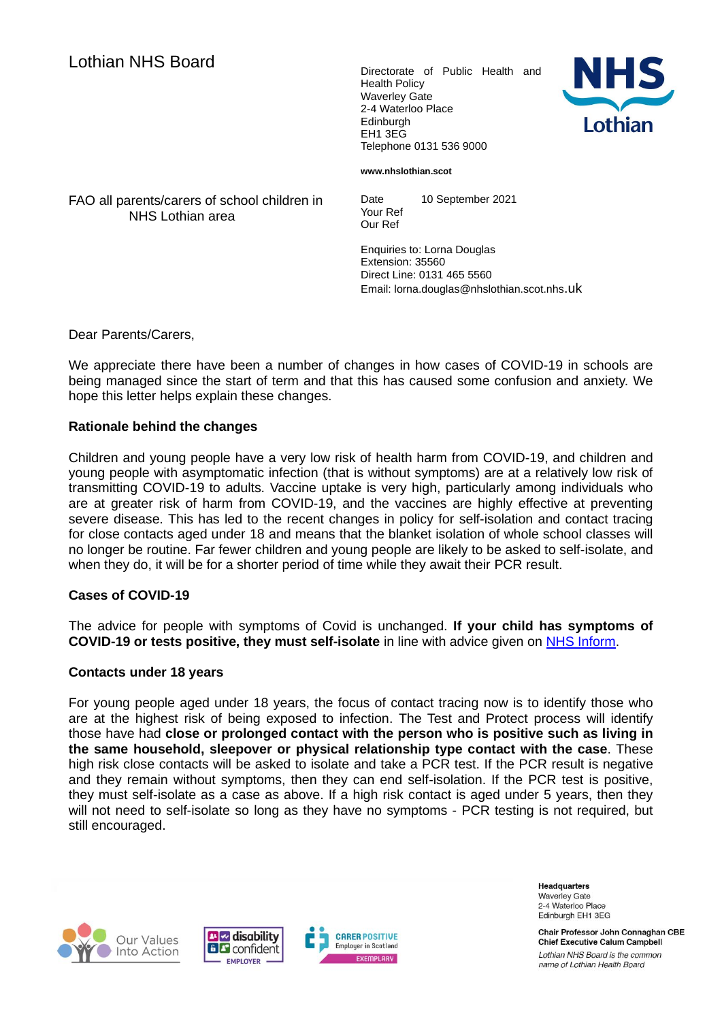Health Policy Waverley Gate 2-4 Waterloo Place Edinburgh EH1 3EG Telephone 0131 536 9000



**www.nhslothian.scot**

FAO all parents/carers of school children in NHS Lothian area

Date 10 September 2021 Your Ref Our Ref

Enquiries to: Lorna Douglas Extension: 35560 Direct Line: 0131 465 5560 Email: lorna.douglas@nhslothian.scot.nhs.uk

Dear Parents/Carers,

We appreciate there have been a number of changes in how cases of COVID-19 in schools are being managed since the start of term and that this has caused some confusion and anxiety. We hope this letter helps explain these changes.

## **Rationale behind the changes**

Children and young people have a very low risk of health harm from COVID-19, and children and young people with asymptomatic infection (that is without symptoms) are at a relatively low risk of transmitting COVID-19 to adults. Vaccine uptake is very high, particularly among individuals who are at greater risk of harm from COVID-19, and the vaccines are highly effective at preventing severe disease. This has led to the recent changes in policy for self-isolation and contact tracing for close contacts aged under 18 and means that the blanket isolation of whole school classes will no longer be routine. Far fewer children and young people are likely to be asked to self-isolate, and when they do, it will be for a shorter period of time while they await their PCR result.

## **Cases of COVID-19**

The advice for people with symptoms of Covid is unchanged. **If your child has symptoms of COVID-19 or tests positive, they must self-isolate** in line with advice given on [NHS Inform.](https://www.nhsinform.scot/self-help-guides/self-help-guide-when-and-how-long-to-self-isolate-due-to-coronavirus)

## **Contacts under 18 years**

For young people aged under 18 years, the focus of contact tracing now is to identify those who are at the highest risk of being exposed to infection. The Test and Protect process will identify those have had **close or prolonged contact with the person who is positive such as living in the same household, sleepover or physical relationship type contact with the case**. These high risk close contacts will be asked to isolate and take a PCR test. If the PCR result is negative and they remain without symptoms, then they can end self-isolation. If the PCR test is positive, they must self-isolate as a case as above. If a high risk contact is aged under 5 years, then they will not need to self-isolate so long as they have no symptoms - PCR testing is not required, but still encouraged.







**Headquarters Waverley Gate** 2-4 Waterloo Place Edinburgh EH1 3EG

Chair Professor John Connaghan CBE **Chief Executive Calum Campbell** Lothian NHS Board is the common name of Lothian Health Board